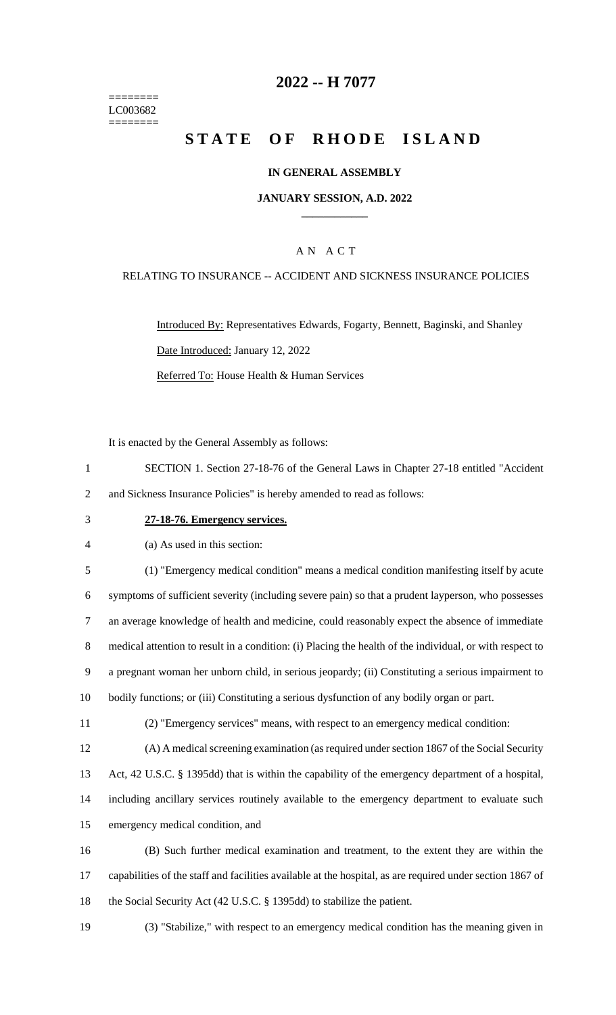======== LC003682 ========

# **2022 -- H 7077**

# **STATE OF RHODE ISLAND**

### **IN GENERAL ASSEMBLY**

### **JANUARY SESSION, A.D. 2022 \_\_\_\_\_\_\_\_\_\_\_\_**

## A N A C T

### RELATING TO INSURANCE -- ACCIDENT AND SICKNESS INSURANCE POLICIES

Introduced By: Representatives Edwards, Fogarty, Bennett, Baginski, and Shanley Date Introduced: January 12, 2022 Referred To: House Health & Human Services

It is enacted by the General Assembly as follows:

- 1 SECTION 1. Section 27-18-76 of the General Laws in Chapter 27-18 entitled "Accident 2 and Sickness Insurance Policies" is hereby amended to read as follows:
- 

#### 3 **27-18-76. Emergency services.**

4 (a) As used in this section:

 (1) "Emergency medical condition" means a medical condition manifesting itself by acute symptoms of sufficient severity (including severe pain) so that a prudent layperson, who possesses an average knowledge of health and medicine, could reasonably expect the absence of immediate medical attention to result in a condition: (i) Placing the health of the individual, or with respect to a pregnant woman her unborn child, in serious jeopardy; (ii) Constituting a serious impairment to bodily functions; or (iii) Constituting a serious dysfunction of any bodily organ or part.

- 11 (2) "Emergency services" means, with respect to an emergency medical condition:
- 12 (A) A medical screening examination (as required under section 1867 of the Social Security

13 Act, 42 U.S.C. § 1395dd) that is within the capability of the emergency department of a hospital,

14 including ancillary services routinely available to the emergency department to evaluate such

15 emergency medical condition, and

16 (B) Such further medical examination and treatment, to the extent they are within the 17 capabilities of the staff and facilities available at the hospital, as are required under section 1867 of 18 the Social Security Act (42 U.S.C. § 1395dd) to stabilize the patient.

19 (3) "Stabilize," with respect to an emergency medical condition has the meaning given in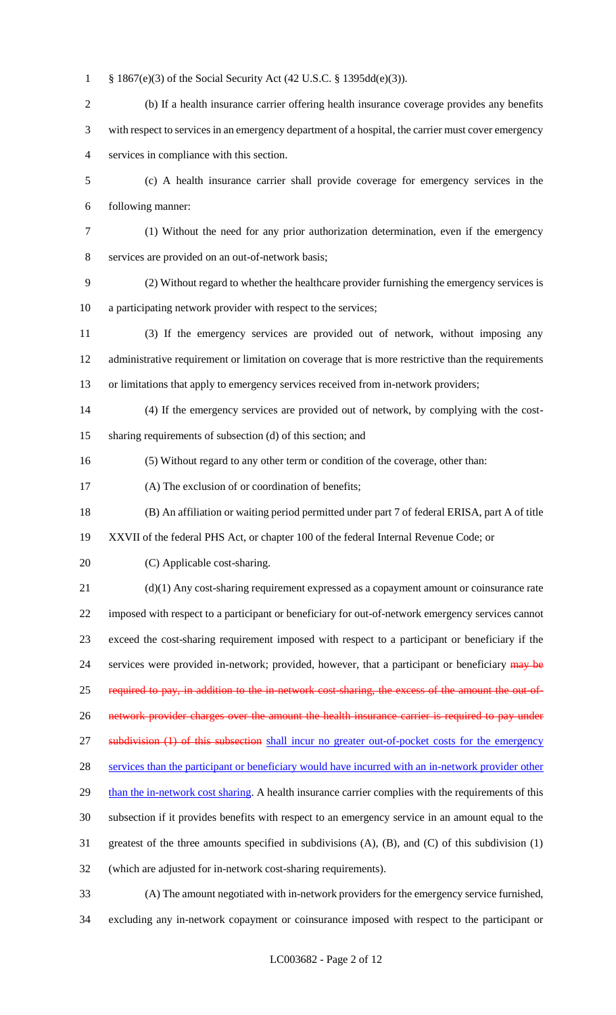§ 1867(e)(3) of the Social Security Act (42 U.S.C. § 1395dd(e)(3)).

- (b) If a health insurance carrier offering health insurance coverage provides any benefits with respect to services in an emergency department of a hospital, the carrier must cover emergency services in compliance with this section.
- (c) A health insurance carrier shall provide coverage for emergency services in the following manner:
- (1) Without the need for any prior authorization determination, even if the emergency services are provided on an out-of-network basis;
- (2) Without regard to whether the healthcare provider furnishing the emergency services is a participating network provider with respect to the services;
- (3) If the emergency services are provided out of network, without imposing any administrative requirement or limitation on coverage that is more restrictive than the requirements or limitations that apply to emergency services received from in-network providers;
- (4) If the emergency services are provided out of network, by complying with the cost-sharing requirements of subsection (d) of this section; and
- (5) Without regard to any other term or condition of the coverage, other than:
- (A) The exclusion of or coordination of benefits;

(B) An affiliation or waiting period permitted under part 7 of federal ERISA, part A of title

- XXVII of the federal PHS Act, or chapter 100 of the federal Internal Revenue Code; or
- 20 (C) Applicable cost-sharing.

 (d)(1) Any cost-sharing requirement expressed as a copayment amount or coinsurance rate imposed with respect to a participant or beneficiary for out-of-network emergency services cannot exceed the cost-sharing requirement imposed with respect to a participant or beneficiary if the 24 services were provided in-network; provided, however, that a participant or beneficiary may be 25 required to pay, in addition to the in-network cost-sharing, the excess of the amount the out-of-26 network provider charges over the amount the health insurance carrier is required to pay under 27 subdivision (1) of this subsection shall incur no greater out-of-pocket costs for the emergency services than the participant or beneficiary would have incurred with an in-network provider other 29 than the in-network cost sharing. A health insurance carrier complies with the requirements of this subsection if it provides benefits with respect to an emergency service in an amount equal to the greatest of the three amounts specified in subdivisions (A), (B), and (C) of this subdivision (1) (which are adjusted for in-network cost-sharing requirements).

 (A) The amount negotiated with in-network providers for the emergency service furnished, excluding any in-network copayment or coinsurance imposed with respect to the participant or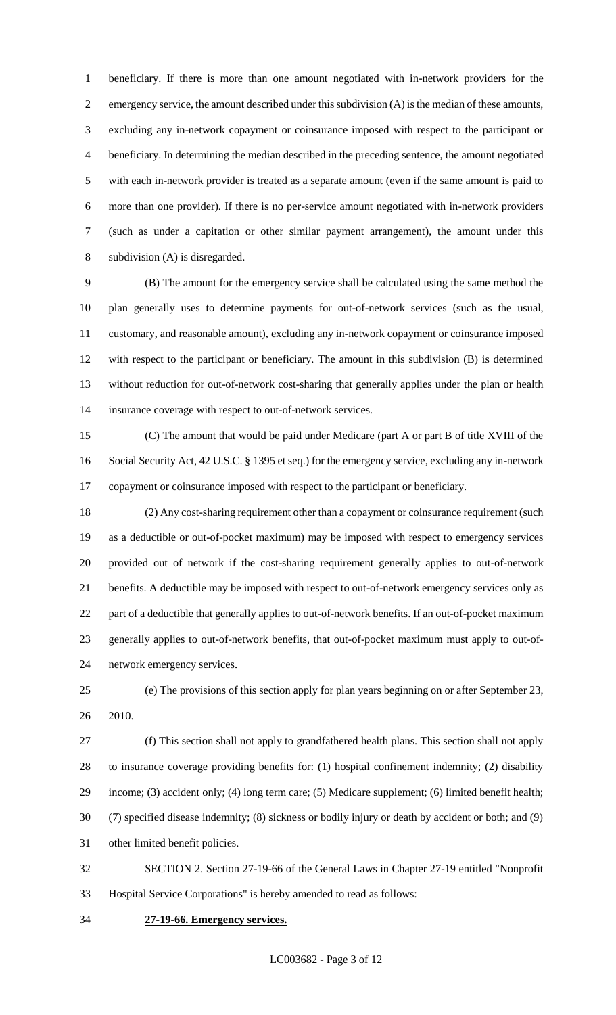beneficiary. If there is more than one amount negotiated with in-network providers for the emergency service, the amount described under this subdivision (A) is the median of these amounts, excluding any in-network copayment or coinsurance imposed with respect to the participant or beneficiary. In determining the median described in the preceding sentence, the amount negotiated with each in-network provider is treated as a separate amount (even if the same amount is paid to more than one provider). If there is no per-service amount negotiated with in-network providers (such as under a capitation or other similar payment arrangement), the amount under this subdivision (A) is disregarded.

 (B) The amount for the emergency service shall be calculated using the same method the plan generally uses to determine payments for out-of-network services (such as the usual, customary, and reasonable amount), excluding any in-network copayment or coinsurance imposed with respect to the participant or beneficiary. The amount in this subdivision (B) is determined without reduction for out-of-network cost-sharing that generally applies under the plan or health insurance coverage with respect to out-of-network services.

 (C) The amount that would be paid under Medicare (part A or part B of title XVIII of the Social Security Act, 42 U.S.C. § 1395 et seq.) for the emergency service, excluding any in-network copayment or coinsurance imposed with respect to the participant or beneficiary.

 (2) Any cost-sharing requirement other than a copayment or coinsurance requirement (such as a deductible or out-of-pocket maximum) may be imposed with respect to emergency services provided out of network if the cost-sharing requirement generally applies to out-of-network benefits. A deductible may be imposed with respect to out-of-network emergency services only as part of a deductible that generally applies to out-of-network benefits. If an out-of-pocket maximum generally applies to out-of-network benefits, that out-of-pocket maximum must apply to out-of-network emergency services.

 (e) The provisions of this section apply for plan years beginning on or after September 23, 2010.

 (f) This section shall not apply to grandfathered health plans. This section shall not apply to insurance coverage providing benefits for: (1) hospital confinement indemnity; (2) disability income; (3) accident only; (4) long term care; (5) Medicare supplement; (6) limited benefit health; (7) specified disease indemnity; (8) sickness or bodily injury or death by accident or both; and (9) other limited benefit policies.

 SECTION 2. Section 27-19-66 of the General Laws in Chapter 27-19 entitled "Nonprofit Hospital Service Corporations" is hereby amended to read as follows:

**27-19-66. Emergency services.**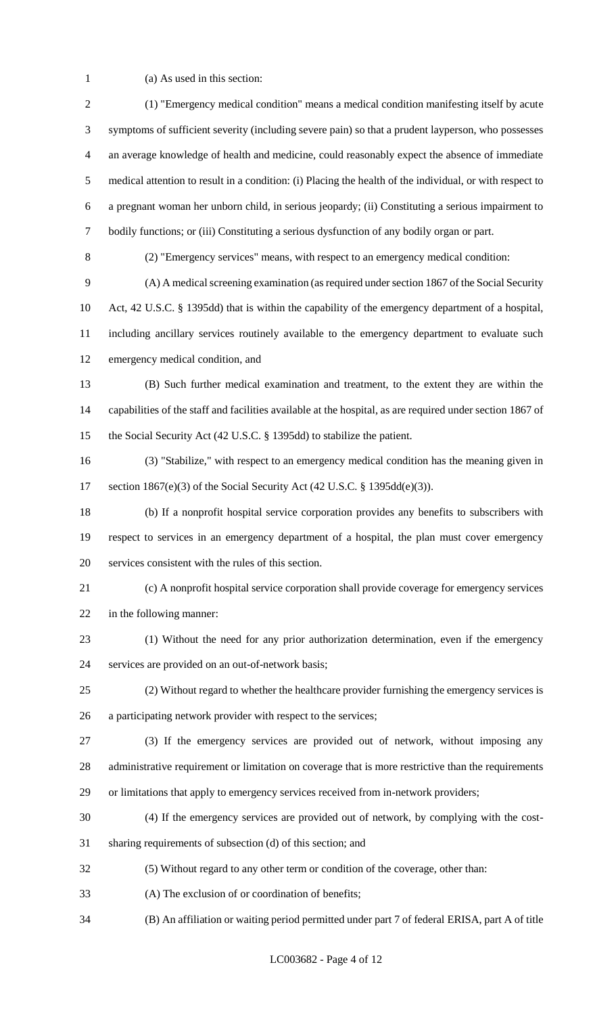(a) As used in this section:

| $\overline{2}$ | (1) "Emergency medical condition" means a medical condition manifesting itself by acute                   |
|----------------|-----------------------------------------------------------------------------------------------------------|
| 3              | symptoms of sufficient severity (including severe pain) so that a prudent layperson, who possesses        |
| $\overline{4}$ | an average knowledge of health and medicine, could reasonably expect the absence of immediate             |
| 5              | medical attention to result in a condition: (i) Placing the health of the individual, or with respect to  |
| 6              | a pregnant woman her unborn child, in serious jeopardy; (ii) Constituting a serious impairment to         |
| $\tau$         | bodily functions; or (iii) Constituting a serious dysfunction of any bodily organ or part.                |
| $8\,$          | (2) "Emergency services" means, with respect to an emergency medical condition:                           |
| 9              | (A) A medical screening examination (as required under section 1867 of the Social Security                |
| 10             | Act, 42 U.S.C. § 1395dd) that is within the capability of the emergency department of a hospital,         |
| 11             | including ancillary services routinely available to the emergency department to evaluate such             |
| 12             | emergency medical condition, and                                                                          |
| 13             | (B) Such further medical examination and treatment, to the extent they are within the                     |
| 14             | capabilities of the staff and facilities available at the hospital, as are required under section 1867 of |
| 15             | the Social Security Act (42 U.S.C. § 1395dd) to stabilize the patient.                                    |
| 16             | (3) "Stabilize," with respect to an emergency medical condition has the meaning given in                  |
| 17             | section $1867(e)(3)$ of the Social Security Act (42 U.S.C. § 1395dd(e)(3)).                               |
| 18             | (b) If a nonprofit hospital service corporation provides any benefits to subscribers with                 |
| 19             | respect to services in an emergency department of a hospital, the plan must cover emergency               |
| 20             | services consistent with the rules of this section.                                                       |
| 21             | (c) A nonprofit hospital service corporation shall provide coverage for emergency services                |
| 22             | in the following manner:                                                                                  |
| 23             | (1) Without the need for any prior authorization determination, even if the emergency                     |
| 24             | services are provided on an out-of-network basis;                                                         |
| 25             | (2) Without regard to whether the healthcare provider furnishing the emergency services is                |
| 26             | a participating network provider with respect to the services;                                            |
| 27             | (3) If the emergency services are provided out of network, without imposing any                           |
| 28             | administrative requirement or limitation on coverage that is more restrictive than the requirements       |
| 29             | or limitations that apply to emergency services received from in-network providers;                       |
| 30             | (4) If the emergency services are provided out of network, by complying with the cost-                    |
| 31             | sharing requirements of subsection (d) of this section; and                                               |
| 32             | (5) Without regard to any other term or condition of the coverage, other than:                            |
| 33             | (A) The exclusion of or coordination of benefits;                                                         |
| 34             | (B) An affiliation or waiting period permitted under part 7 of federal ERISA, part A of title             |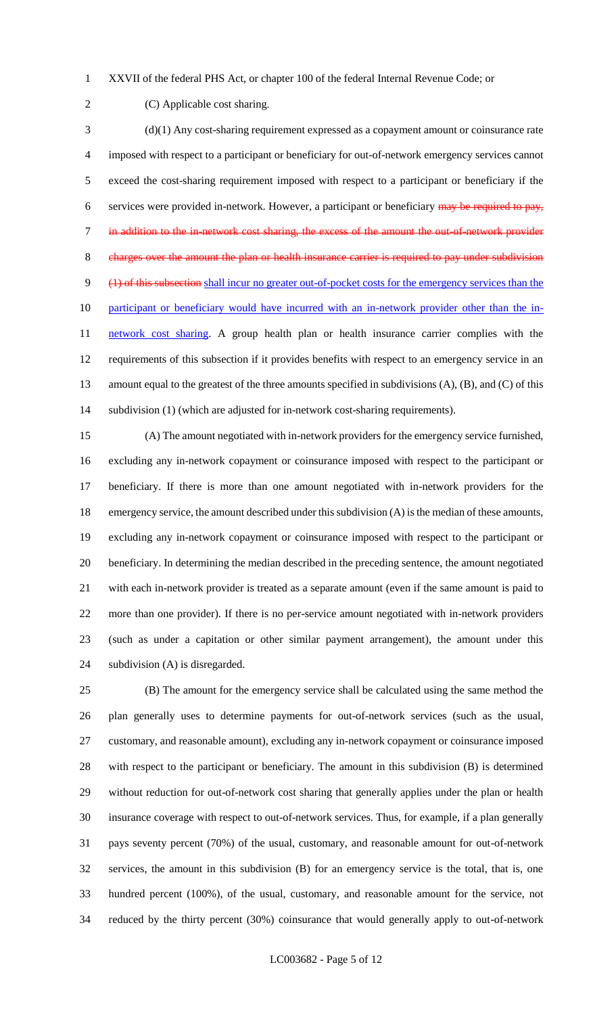XXVII of the federal PHS Act, or chapter 100 of the federal Internal Revenue Code; or

(C) Applicable cost sharing.

 (d)(1) Any cost-sharing requirement expressed as a copayment amount or coinsurance rate imposed with respect to a participant or beneficiary for out-of-network emergency services cannot exceed the cost-sharing requirement imposed with respect to a participant or beneficiary if the 6 services were provided in-network. However, a participant or beneficiary may be required to pay, in addition to the in-network cost sharing, the excess of the amount the out-of-network provider 8 charges over the amount the plan or health insurance carrier is required to pay under subdivision (1) of this subsection shall incur no greater out-of-pocket costs for the emergency services than the 10 participant or beneficiary would have incurred with an in-network provider other than the in-11 network cost sharing. A group health plan or health insurance carrier complies with the requirements of this subsection if it provides benefits with respect to an emergency service in an amount equal to the greatest of the three amounts specified in subdivisions (A), (B), and (C) of this subdivision (1) (which are adjusted for in-network cost-sharing requirements).

 (A) The amount negotiated with in-network providers for the emergency service furnished, excluding any in-network copayment or coinsurance imposed with respect to the participant or beneficiary. If there is more than one amount negotiated with in-network providers for the 18 emergency service, the amount described under this subdivision (A) is the median of these amounts, excluding any in-network copayment or coinsurance imposed with respect to the participant or beneficiary. In determining the median described in the preceding sentence, the amount negotiated with each in-network provider is treated as a separate amount (even if the same amount is paid to more than one provider). If there is no per-service amount negotiated with in-network providers (such as under a capitation or other similar payment arrangement), the amount under this subdivision (A) is disregarded.

 (B) The amount for the emergency service shall be calculated using the same method the plan generally uses to determine payments for out-of-network services (such as the usual, customary, and reasonable amount), excluding any in-network copayment or coinsurance imposed with respect to the participant or beneficiary. The amount in this subdivision (B) is determined without reduction for out-of-network cost sharing that generally applies under the plan or health insurance coverage with respect to out-of-network services. Thus, for example, if a plan generally pays seventy percent (70%) of the usual, customary, and reasonable amount for out-of-network services, the amount in this subdivision (B) for an emergency service is the total, that is, one hundred percent (100%), of the usual, customary, and reasonable amount for the service, not reduced by the thirty percent (30%) coinsurance that would generally apply to out-of-network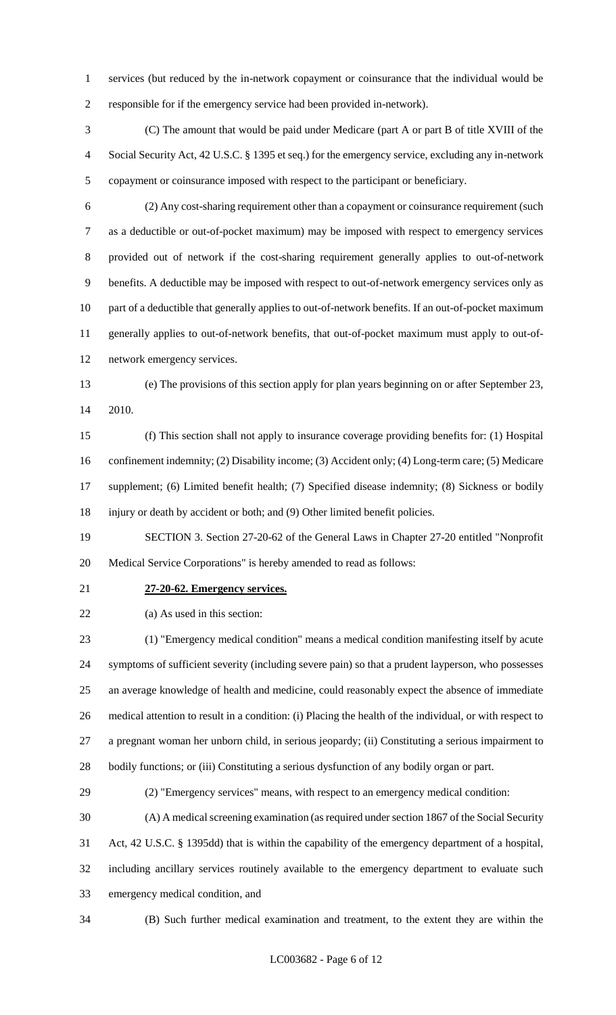services (but reduced by the in-network copayment or coinsurance that the individual would be responsible for if the emergency service had been provided in-network).

 (C) The amount that would be paid under Medicare (part A or part B of title XVIII of the Social Security Act, 42 U.S.C. § 1395 et seq.) for the emergency service, excluding any in-network copayment or coinsurance imposed with respect to the participant or beneficiary.

- (2) Any cost-sharing requirement other than a copayment or coinsurance requirement (such as a deductible or out-of-pocket maximum) may be imposed with respect to emergency services provided out of network if the cost-sharing requirement generally applies to out-of-network benefits. A deductible may be imposed with respect to out-of-network emergency services only as part of a deductible that generally applies to out-of-network benefits. If an out-of-pocket maximum generally applies to out-of-network benefits, that out-of-pocket maximum must apply to out-of-network emergency services.
- (e) The provisions of this section apply for plan years beginning on or after September 23, 2010.
- (f) This section shall not apply to insurance coverage providing benefits for: (1) Hospital 16 confinement indemnity; (2) Disability income; (3) Accident only; (4) Long-term care; (5) Medicare supplement; (6) Limited benefit health; (7) Specified disease indemnity; (8) Sickness or bodily injury or death by accident or both; and (9) Other limited benefit policies.
- SECTION 3. Section 27-20-62 of the General Laws in Chapter 27-20 entitled "Nonprofit Medical Service Corporations" is hereby amended to read as follows:
- 

### **27-20-62. Emergency services.**

(a) As used in this section:

 (1) "Emergency medical condition" means a medical condition manifesting itself by acute symptoms of sufficient severity (including severe pain) so that a prudent layperson, who possesses an average knowledge of health and medicine, could reasonably expect the absence of immediate medical attention to result in a condition: (i) Placing the health of the individual, or with respect to a pregnant woman her unborn child, in serious jeopardy; (ii) Constituting a serious impairment to bodily functions; or (iii) Constituting a serious dysfunction of any bodily organ or part.

(2) "Emergency services" means, with respect to an emergency medical condition:

 (A) A medical screening examination (as required under section 1867 of the Social Security Act, 42 U.S.C. § 1395dd) that is within the capability of the emergency department of a hospital, including ancillary services routinely available to the emergency department to evaluate such emergency medical condition, and

(B) Such further medical examination and treatment, to the extent they are within the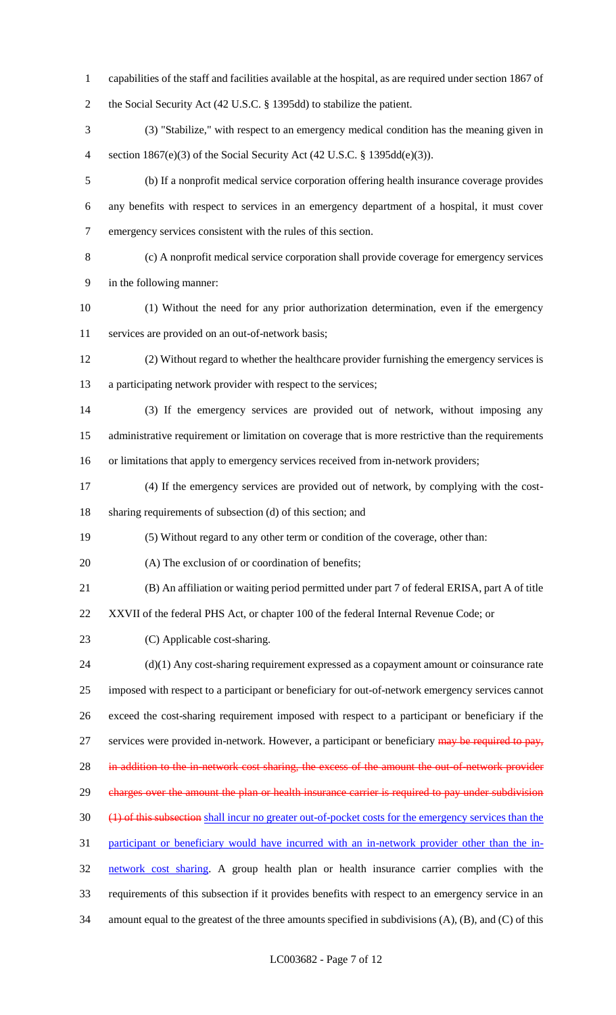capabilities of the staff and facilities available at the hospital, as are required under section 1867 of

the Social Security Act (42 U.S.C. § 1395dd) to stabilize the patient.

- (3) "Stabilize," with respect to an emergency medical condition has the meaning given in section 1867(e)(3) of the Social Security Act (42 U.S.C. § 1395dd(e)(3)).
- (b) If a nonprofit medical service corporation offering health insurance coverage provides any benefits with respect to services in an emergency department of a hospital, it must cover emergency services consistent with the rules of this section.
- 
- (c) A nonprofit medical service corporation shall provide coverage for emergency services in the following manner:
- (1) Without the need for any prior authorization determination, even if the emergency services are provided on an out-of-network basis;
- (2) Without regard to whether the healthcare provider furnishing the emergency services is a participating network provider with respect to the services;
- (3) If the emergency services are provided out of network, without imposing any administrative requirement or limitation on coverage that is more restrictive than the requirements
- or limitations that apply to emergency services received from in-network providers;
- (4) If the emergency services are provided out of network, by complying with the cost-
- sharing requirements of subsection (d) of this section; and
- (5) Without regard to any other term or condition of the coverage, other than:
- (A) The exclusion of or coordination of benefits;
- (B) An affiliation or waiting period permitted under part 7 of federal ERISA, part A of title
- XXVII of the federal PHS Act, or chapter 100 of the federal Internal Revenue Code; or
- (C) Applicable cost-sharing.
- (d)(1) Any cost-sharing requirement expressed as a copayment amount or coinsurance rate imposed with respect to a participant or beneficiary for out-of-network emergency services cannot exceed the cost-sharing requirement imposed with respect to a participant or beneficiary if the 27 services were provided in-network. However, a participant or beneficiary may be required to pay, 28 in addition to the in-network cost sharing, the excess of the amount the out-of-network provider 29 charges over the amount the plan or health insurance carrier is required to pay under subdivision (1) of this subsection shall incur no greater out-of-pocket costs for the emergency services than the participant or beneficiary would have incurred with an in-network provider other than the in- network cost sharing. A group health plan or health insurance carrier complies with the requirements of this subsection if it provides benefits with respect to an emergency service in an amount equal to the greatest of the three amounts specified in subdivisions (A), (B), and (C) of this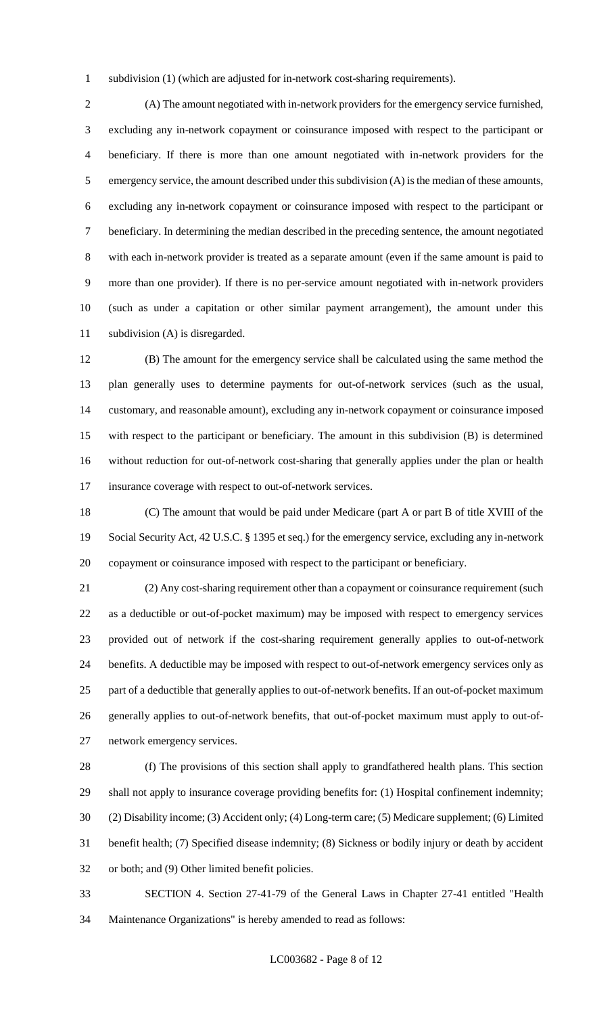subdivision (1) (which are adjusted for in-network cost-sharing requirements).

 (A) The amount negotiated with in-network providers for the emergency service furnished, excluding any in-network copayment or coinsurance imposed with respect to the participant or beneficiary. If there is more than one amount negotiated with in-network providers for the emergency service, the amount described under this subdivision (A) is the median of these amounts, excluding any in-network copayment or coinsurance imposed with respect to the participant or beneficiary. In determining the median described in the preceding sentence, the amount negotiated with each in-network provider is treated as a separate amount (even if the same amount is paid to more than one provider). If there is no per-service amount negotiated with in-network providers (such as under a capitation or other similar payment arrangement), the amount under this subdivision (A) is disregarded.

 (B) The amount for the emergency service shall be calculated using the same method the plan generally uses to determine payments for out-of-network services (such as the usual, customary, and reasonable amount), excluding any in-network copayment or coinsurance imposed with respect to the participant or beneficiary. The amount in this subdivision (B) is determined without reduction for out-of-network cost-sharing that generally applies under the plan or health insurance coverage with respect to out-of-network services.

 (C) The amount that would be paid under Medicare (part A or part B of title XVIII of the Social Security Act, 42 U.S.C. § 1395 et seq.) for the emergency service, excluding any in-network copayment or coinsurance imposed with respect to the participant or beneficiary.

 (2) Any cost-sharing requirement other than a copayment or coinsurance requirement (such as a deductible or out-of-pocket maximum) may be imposed with respect to emergency services provided out of network if the cost-sharing requirement generally applies to out-of-network benefits. A deductible may be imposed with respect to out-of-network emergency services only as part of a deductible that generally applies to out-of-network benefits. If an out-of-pocket maximum generally applies to out-of-network benefits, that out-of-pocket maximum must apply to out-of-network emergency services.

 (f) The provisions of this section shall apply to grandfathered health plans. This section shall not apply to insurance coverage providing benefits for: (1) Hospital confinement indemnity; (2) Disability income; (3) Accident only; (4) Long-term care; (5) Medicare supplement; (6) Limited benefit health; (7) Specified disease indemnity; (8) Sickness or bodily injury or death by accident or both; and (9) Other limited benefit policies.

 SECTION 4. Section 27-41-79 of the General Laws in Chapter 27-41 entitled "Health Maintenance Organizations" is hereby amended to read as follows: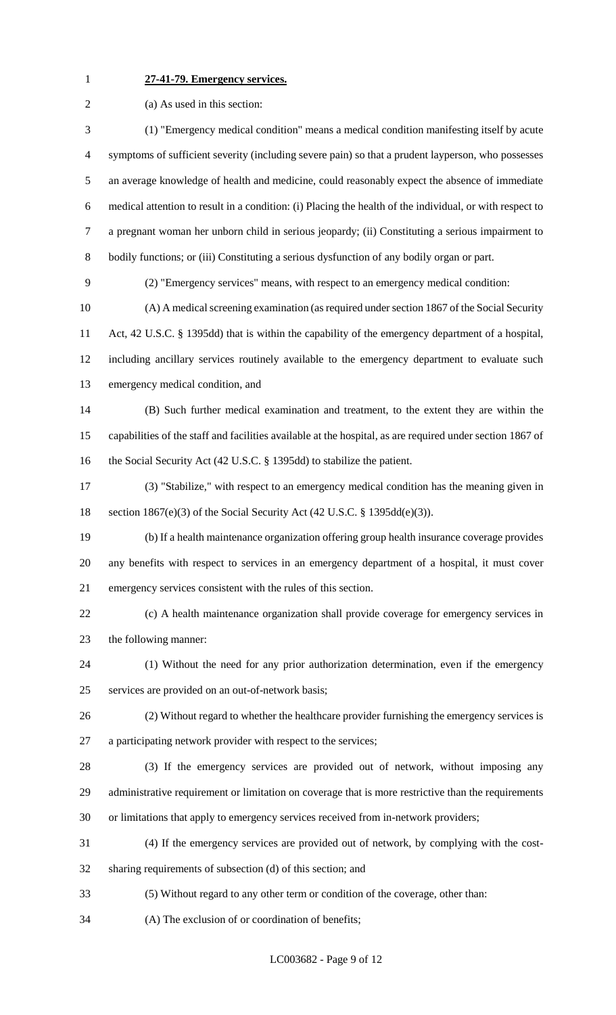# **27-41-79. Emergency services.**

| $\overline{2}$ | (a) As used in this section:                                                                              |
|----------------|-----------------------------------------------------------------------------------------------------------|
| 3              | (1) "Emergency medical condition" means a medical condition manifesting itself by acute                   |
| 4              | symptoms of sufficient severity (including severe pain) so that a prudent layperson, who possesses        |
| 5              | an average knowledge of health and medicine, could reasonably expect the absence of immediate             |
| 6              | medical attention to result in a condition: (i) Placing the health of the individual, or with respect to  |
| 7              | a pregnant woman her unborn child in serious jeopardy; (ii) Constituting a serious impairment to          |
| 8              | bodily functions; or (iii) Constituting a serious dysfunction of any bodily organ or part.                |
| 9              | (2) "Emergency services" means, with respect to an emergency medical condition:                           |
| 10             | (A) A medical screening examination (as required under section 1867 of the Social Security                |
| 11             | Act, 42 U.S.C. § 1395dd) that is within the capability of the emergency department of a hospital,         |
| 12             | including ancillary services routinely available to the emergency department to evaluate such             |
| 13             | emergency medical condition, and                                                                          |
| 14             | (B) Such further medical examination and treatment, to the extent they are within the                     |
| 15             | capabilities of the staff and facilities available at the hospital, as are required under section 1867 of |
| 16             | the Social Security Act (42 U.S.C. § 1395dd) to stabilize the patient.                                    |
| 17             | (3) "Stabilize," with respect to an emergency medical condition has the meaning given in                  |
| 18             | section $1867(e)(3)$ of the Social Security Act (42 U.S.C. § 1395dd(e)(3)).                               |
| 19             | (b) If a health maintenance organization offering group health insurance coverage provides                |
| 20             | any benefits with respect to services in an emergency department of a hospital, it must cover             |
| 21             | emergency services consistent with the rules of this section.                                             |
| 22             | (c) A health maintenance organization shall provide coverage for emergency services in                    |
| 23             | the following manner:                                                                                     |
| 24             | (1) Without the need for any prior authorization determination, even if the emergency                     |
| 25             | services are provided on an out-of-network basis;                                                         |
| 26             | (2) Without regard to whether the healthcare provider furnishing the emergency services is                |
| 27             | a participating network provider with respect to the services;                                            |
| 28             | (3) If the emergency services are provided out of network, without imposing any                           |
| 29             | administrative requirement or limitation on coverage that is more restrictive than the requirements       |
| 30             | or limitations that apply to emergency services received from in-network providers;                       |
| 31             | (4) If the emergency services are provided out of network, by complying with the cost-                    |
| 32             | sharing requirements of subsection (d) of this section; and                                               |
| 33             | (5) Without regard to any other term or condition of the coverage, other than:                            |
| 34             | (A) The exclusion of or coordination of benefits;                                                         |
|                |                                                                                                           |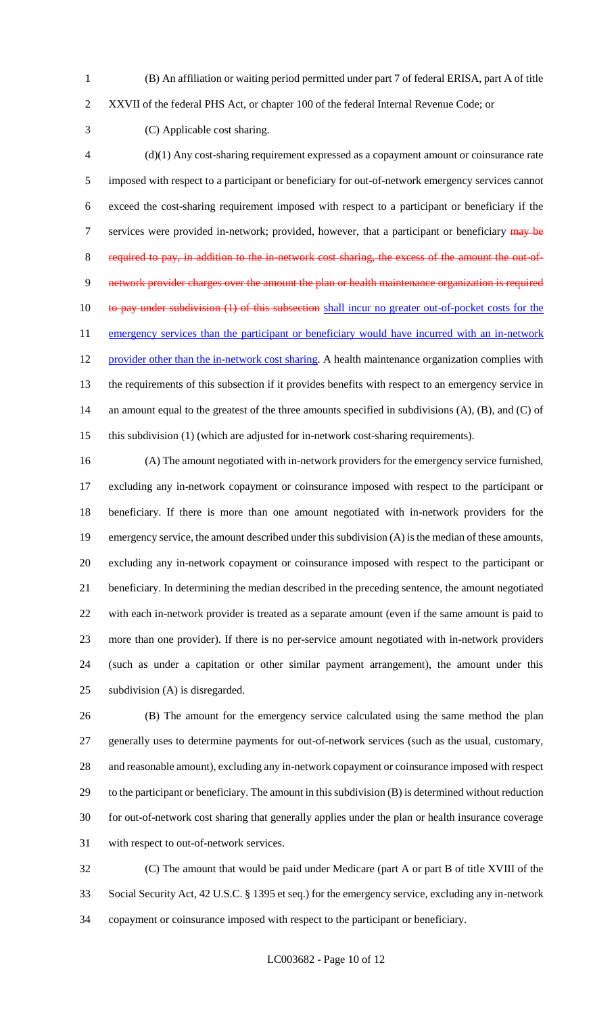(B) An affiliation or waiting period permitted under part 7 of federal ERISA, part A of title

XXVII of the federal PHS Act, or chapter 100 of the federal Internal Revenue Code; or

(C) Applicable cost sharing.

 (d)(1) Any cost-sharing requirement expressed as a copayment amount or coinsurance rate imposed with respect to a participant or beneficiary for out-of-network emergency services cannot exceed the cost-sharing requirement imposed with respect to a participant or beneficiary if the 7 services were provided in-network; provided, however, that a participant or beneficiary may be 8 required to pay, in addition to the in-network cost sharing, the excess of the amount the out-of- network provider charges over the amount the plan or health maintenance organization is required 10 to pay under subdivision (1) of this subsection shall incur no greater out-of-pocket costs for the 11 emergency services than the participant or beneficiary would have incurred with an in-network provider other than the in-network cost sharing. A health maintenance organization complies with the requirements of this subsection if it provides benefits with respect to an emergency service in 14 an amount equal to the greatest of the three amounts specified in subdivisions (A), (B), and (C) of this subdivision (1) (which are adjusted for in-network cost-sharing requirements).

 (A) The amount negotiated with in-network providers for the emergency service furnished, excluding any in-network copayment or coinsurance imposed with respect to the participant or beneficiary. If there is more than one amount negotiated with in-network providers for the emergency service, the amount described under this subdivision (A) is the median of these amounts, excluding any in-network copayment or coinsurance imposed with respect to the participant or beneficiary. In determining the median described in the preceding sentence, the amount negotiated with each in-network provider is treated as a separate amount (even if the same amount is paid to more than one provider). If there is no per-service amount negotiated with in-network providers (such as under a capitation or other similar payment arrangement), the amount under this subdivision (A) is disregarded.

 (B) The amount for the emergency service calculated using the same method the plan generally uses to determine payments for out-of-network services (such as the usual, customary, and reasonable amount), excluding any in-network copayment or coinsurance imposed with respect to the participant or beneficiary. The amount in this subdivision (B) is determined without reduction for out-of-network cost sharing that generally applies under the plan or health insurance coverage with respect to out-of-network services.

 (C) The amount that would be paid under Medicare (part A or part B of title XVIII of the Social Security Act, 42 U.S.C. § 1395 et seq.) for the emergency service, excluding any in-network copayment or coinsurance imposed with respect to the participant or beneficiary.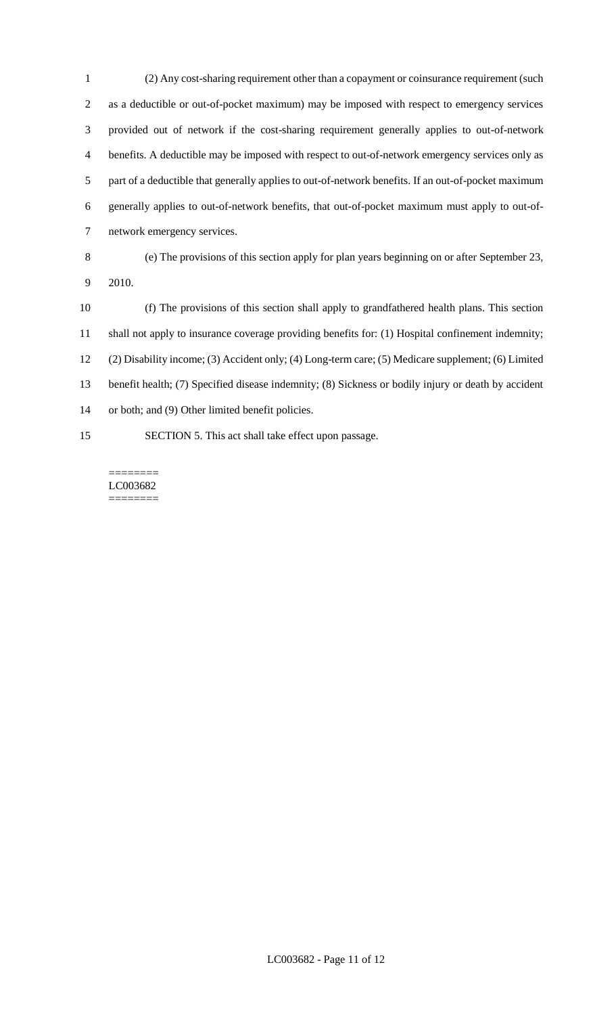(2) Any cost-sharing requirement other than a copayment or coinsurance requirement (such as a deductible or out-of-pocket maximum) may be imposed with respect to emergency services provided out of network if the cost-sharing requirement generally applies to out-of-network benefits. A deductible may be imposed with respect to out-of-network emergency services only as part of a deductible that generally applies to out-of-network benefits. If an out-of-pocket maximum generally applies to out-of-network benefits, that out-of-pocket maximum must apply to out-of-network emergency services.

# (e) The provisions of this section apply for plan years beginning on or after September 23,

2010.

 (f) The provisions of this section shall apply to grandfathered health plans. This section shall not apply to insurance coverage providing benefits for: (1) Hospital confinement indemnity; (2) Disability income; (3) Accident only; (4) Long-term care; (5) Medicare supplement; (6) Limited benefit health; (7) Specified disease indemnity; (8) Sickness or bodily injury or death by accident or both; and (9) Other limited benefit policies. SECTION 5. This act shall take effect upon passage.

======== LC003682 ========

LC003682 - Page 11 of 12